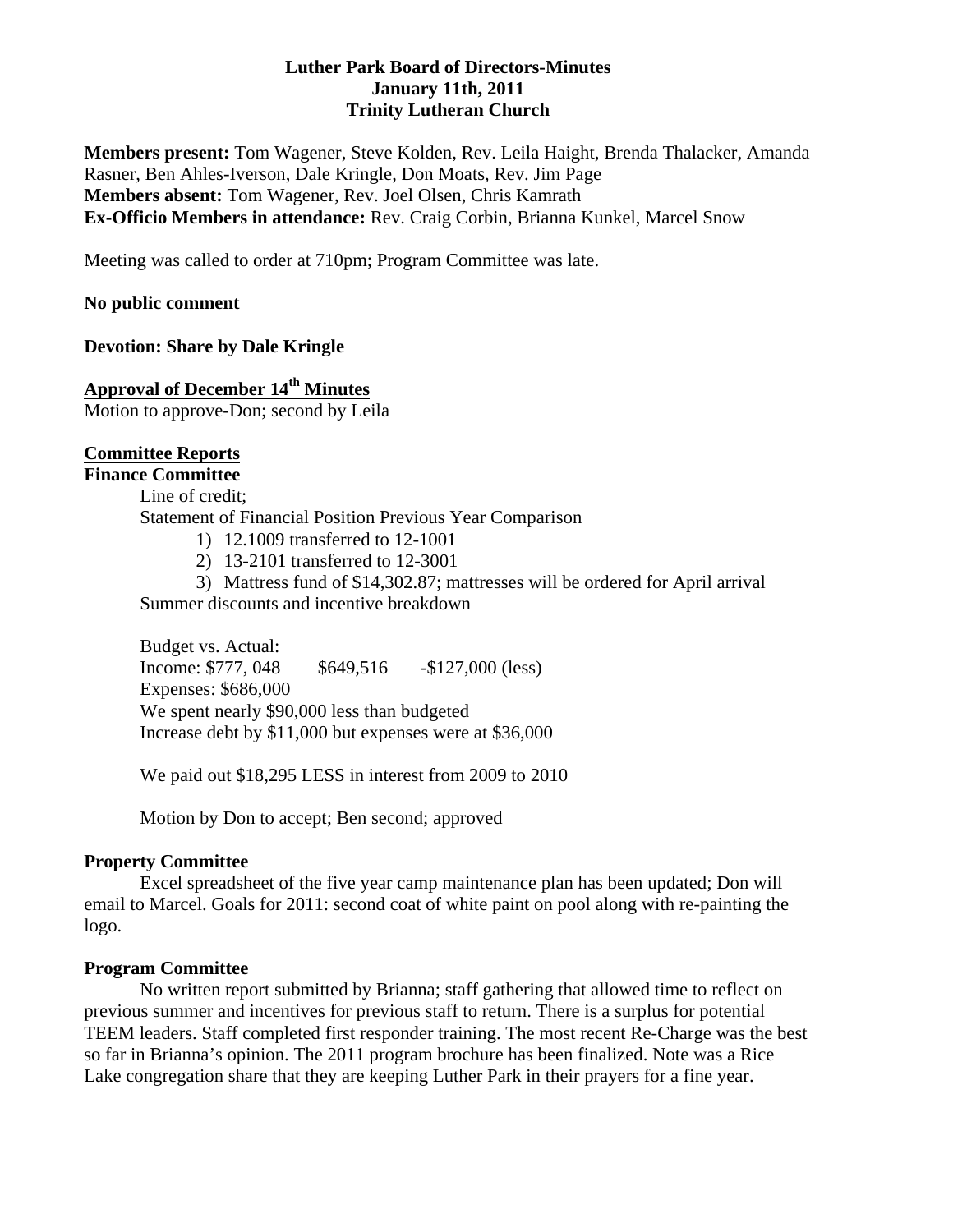# **Luther Park Board of Directors-Minutes January 11th, 2011 Trinity Lutheran Church**

**Members present:** Tom Wagener, Steve Kolden, Rev. Leila Haight, Brenda Thalacker, Amanda Rasner, Ben Ahles-Iverson, Dale Kringle, Don Moats, Rev. Jim Page **Members absent:** Tom Wagener, Rev. Joel Olsen, Chris Kamrath **Ex-Officio Members in attendance:** Rev. Craig Corbin, Brianna Kunkel, Marcel Snow

Meeting was called to order at 710pm; Program Committee was late.

#### **No public comment**

#### **Devotion: Share by Dale Kringle**

# **Approval of December 14th Minutes**

Motion to approve-Don; second by Leila

#### **Committee Reports Finance Committee**

 Line of credit; Statement of Financial Position Previous Year Comparison

- 1) 12.1009 transferred to 12-1001
- 2) 13-2101 transferred to 12-3001
- 3) Mattress fund of \$14,302.87; mattresses will be ordered for April arrival

Summer discounts and incentive breakdown

 Budget vs. Actual: Income: \$777, 048 \$649,516 - \$127,000 (less) Expenses: \$686,000 We spent nearly \$90,000 less than budgeted Increase debt by \$11,000 but expenses were at \$36,000

We paid out \$18,295 LESS in interest from 2009 to 2010

Motion by Don to accept; Ben second; approved

#### **Property Committee**

 Excel spreadsheet of the five year camp maintenance plan has been updated; Don will email to Marcel. Goals for 2011: second coat of white paint on pool along with re-painting the logo.

#### **Program Committee**

No written report submitted by Brianna; staff gathering that allowed time to reflect on previous summer and incentives for previous staff to return. There is a surplus for potential TEEM leaders. Staff completed first responder training. The most recent Re-Charge was the best so far in Brianna's opinion. The 2011 program brochure has been finalized. Note was a Rice Lake congregation share that they are keeping Luther Park in their prayers for a fine year.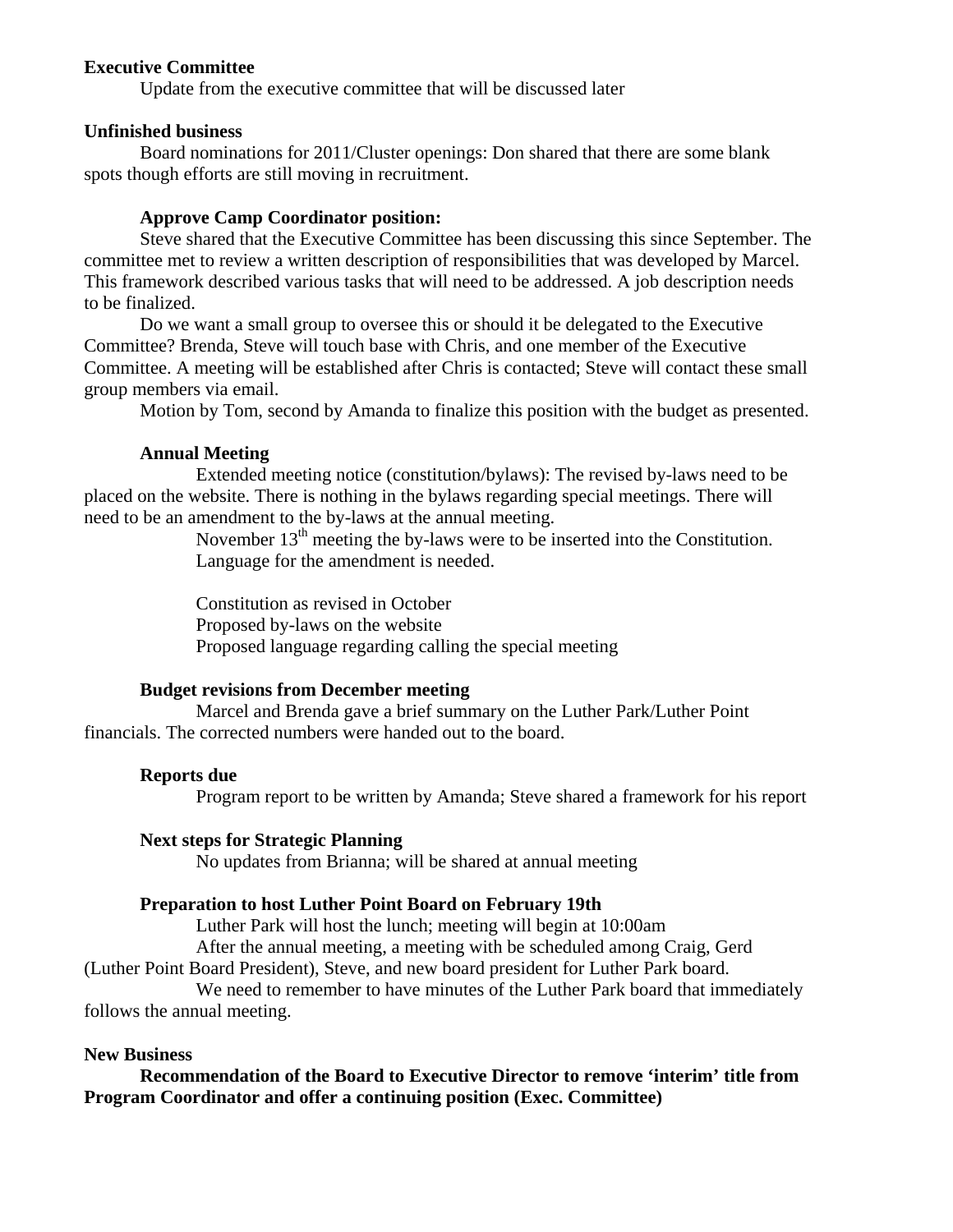# **Executive Committee**

Update from the executive committee that will be discussed later

#### **Unfinished business**

Board nominations for 2011/Cluster openings: Don shared that there are some blank spots though efforts are still moving in recruitment.

#### **Approve Camp Coordinator position:**

 Steve shared that the Executive Committee has been discussing this since September. The committee met to review a written description of responsibilities that was developed by Marcel. This framework described various tasks that will need to be addressed. A job description needs to be finalized.

 Do we want a small group to oversee this or should it be delegated to the Executive Committee? Brenda, Steve will touch base with Chris, and one member of the Executive Committee. A meeting will be established after Chris is contacted; Steve will contact these small group members via email.

Motion by Tom, second by Amanda to finalize this position with the budget as presented.

#### **Annual Meeting**

 Extended meeting notice (constitution/bylaws): The revised by-laws need to be placed on the website. There is nothing in the bylaws regarding special meetings. There will need to be an amendment to the by-laws at the annual meeting.

November  $13<sup>th</sup>$  meeting the by-laws were to be inserted into the Constitution. Language for the amendment is needed.

 Constitution as revised in October Proposed by-laws on the website Proposed language regarding calling the special meeting

#### **Budget revisions from December meeting**

 Marcel and Brenda gave a brief summary on the Luther Park/Luther Point financials. The corrected numbers were handed out to the board.

#### **Reports due**

Program report to be written by Amanda; Steve shared a framework for his report

#### **Next steps for Strategic Planning**

No updates from Brianna; will be shared at annual meeting

#### **Preparation to host Luther Point Board on February 19th**

Luther Park will host the lunch; meeting will begin at 10:00am

After the annual meeting, a meeting with be scheduled among Craig, Gerd

(Luther Point Board President), Steve, and new board president for Luther Park board.

 We need to remember to have minutes of the Luther Park board that immediately follows the annual meeting.

### **New Business**

 **Recommendation of the Board to Executive Director to remove 'interim' title from Program Coordinator and offer a continuing position (Exec. Committee)**